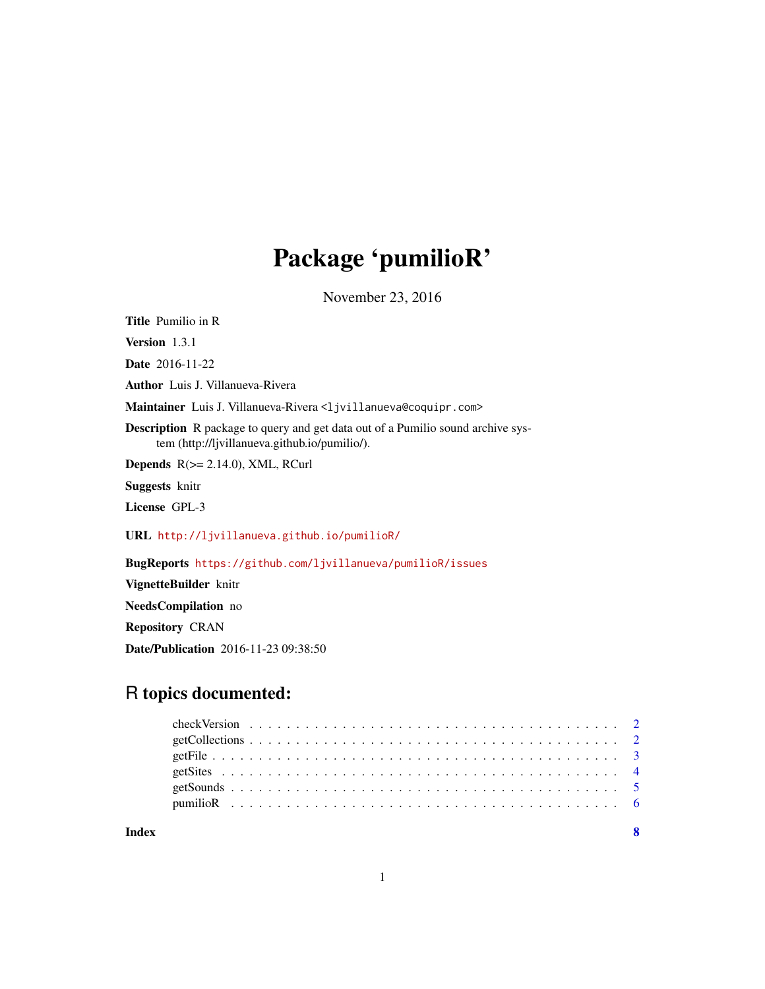## Package 'pumilioR'

November 23, 2016

Title Pumilio in R

Version 1.3.1

Date 2016-11-22

Author Luis J. Villanueva-Rivera

Maintainer Luis J. Villanueva-Rivera <ljvillanueva@coquipr.com>

Description R package to query and get data out of a Pumilio sound archive system (http://ljvillanueva.github.io/pumilio/).

**Depends**  $R$ ( $>= 2.14.0$ ), XML, RCurl

Suggests knitr

License GPL-3

URL <http://ljvillanueva.github.io/pumilioR/>

BugReports <https://github.com/ljvillanueva/pumilioR/issues>

VignetteBuilder knitr

NeedsCompilation no

Repository CRAN

Date/Publication 2016-11-23 09:38:50

### R topics documented:

| Index |  |  |  |  |  |  |  |  |  |  |  |  |  |  |  |  |  |  |  |
|-------|--|--|--|--|--|--|--|--|--|--|--|--|--|--|--|--|--|--|--|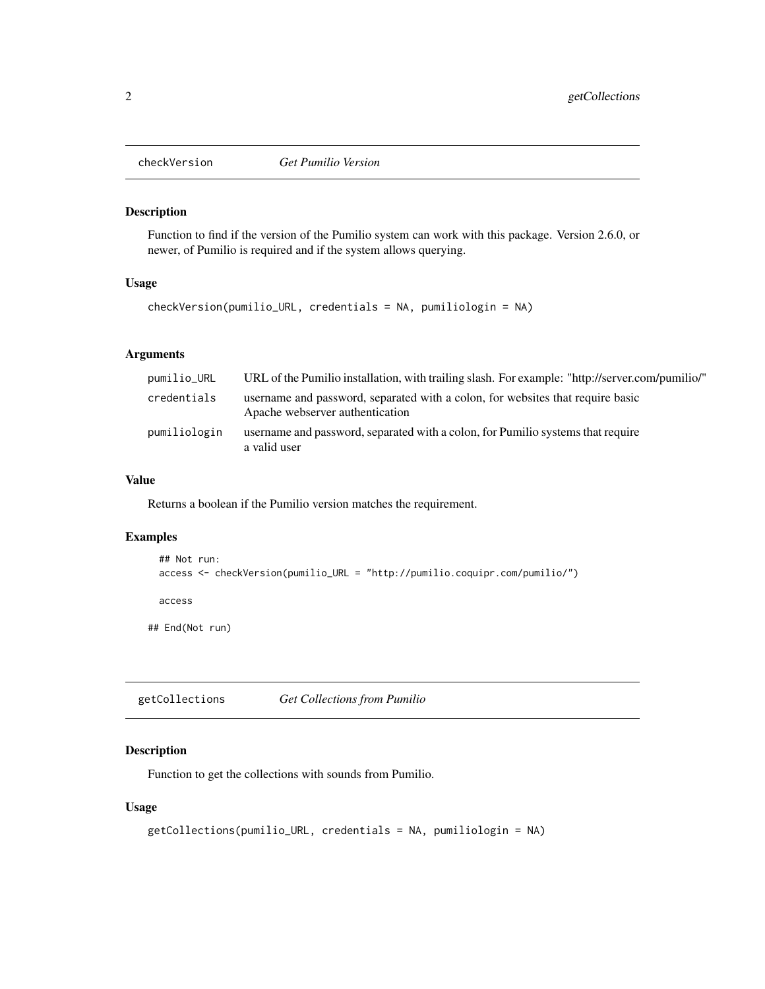<span id="page-1-0"></span>

#### Description

Function to find if the version of the Pumilio system can work with this package. Version 2.6.0, or newer, of Pumilio is required and if the system allows querying.

#### Usage

```
checkVersion(pumilio_URL, credentials = NA, pumiliologin = NA)
```
#### Arguments

| pumilio_URL  | "VRL of the Pumilio installation, with trailing slash. For example: "http://server.com/pumilio/"                  |
|--------------|-------------------------------------------------------------------------------------------------------------------|
| credentials  | username and password, separated with a colon, for websites that require basic<br>Apache webserver authentication |
| pumiliologin | username and password, separated with a colon, for Pumilio systems that require<br>a valid user                   |

#### Value

Returns a boolean if the Pumilio version matches the requirement.

#### Examples

```
## Not run:
 access <- checkVersion(pumilio_URL = "http://pumilio.coquipr.com/pumilio/")
 access
## End(Not run)
```
getCollections *Get Collections from Pumilio*

#### Description

Function to get the collections with sounds from Pumilio.

#### Usage

```
getCollections(pumilio_URL, credentials = NA, pumiliologin = NA)
```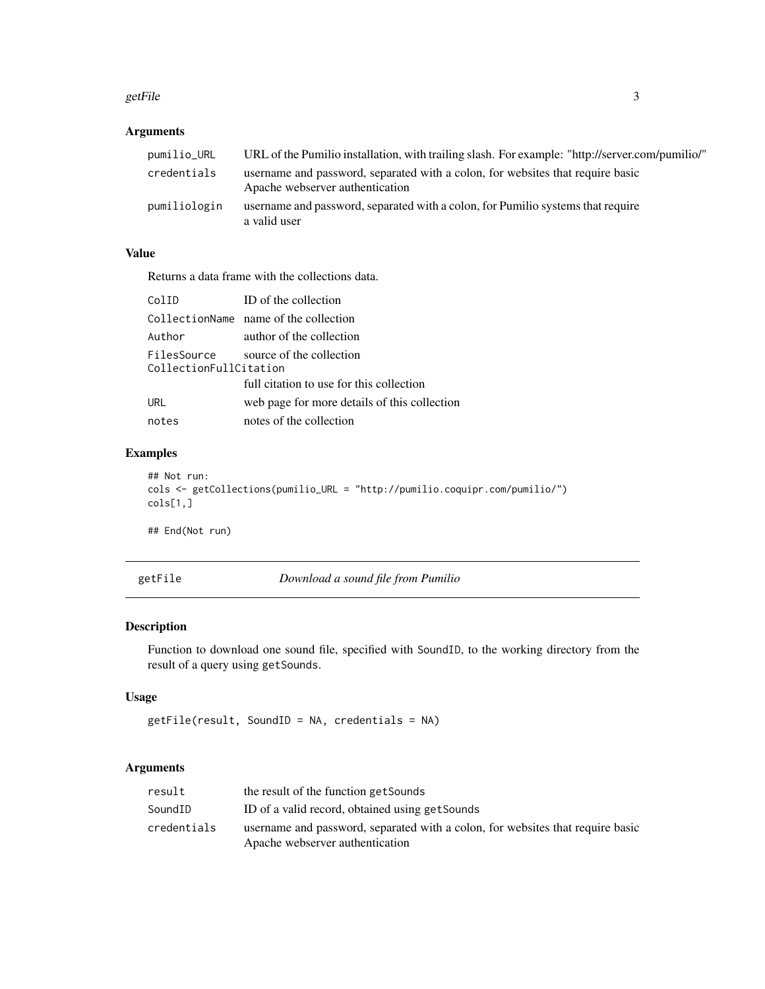#### <span id="page-2-0"></span>getFile 3

#### Arguments

| pumilio_URL  | "VRL of the Pumilio installation, with trailing slash. For example: "http://server.com/pumilio/"                  |
|--------------|-------------------------------------------------------------------------------------------------------------------|
| credentials  | username and password, separated with a colon, for websites that require basic<br>Apache webserver authentication |
| pumiliologin | username and password, separated with a colon, for Pumilio systems that require<br>a valid user                   |

#### Value

Returns a data frame with the collections data.

| ColID                  | ID of the collection                         |
|------------------------|----------------------------------------------|
|                        | CollectionName name of the collection        |
| Author                 | author of the collection                     |
| CollectionFullCitation | FilesSource source of the collection         |
|                        | full citation to use for this collection     |
| <b>URL</b>             | web page for more details of this collection |
| notes                  | notes of the collection                      |

#### Examples

```
## Not run:
cols <- getCollections(pumilio_URL = "http://pumilio.coquipr.com/pumilio/")
cols[1,]
```
## End(Not run)

getFile *Download a sound file from Pumilio*

#### Description

Function to download one sound file, specified with SoundID, to the working directory from the result of a query using getSounds.

#### Usage

```
getFile(result, SoundID = NA, credentials = NA)
```
#### Arguments

| result      | the result of the function get Sounds                                                                             |
|-------------|-------------------------------------------------------------------------------------------------------------------|
| SoundID     | ID of a valid record, obtained using get Sounds                                                                   |
| credentials | username and password, separated with a colon, for websites that require basic<br>Apache webserver authentication |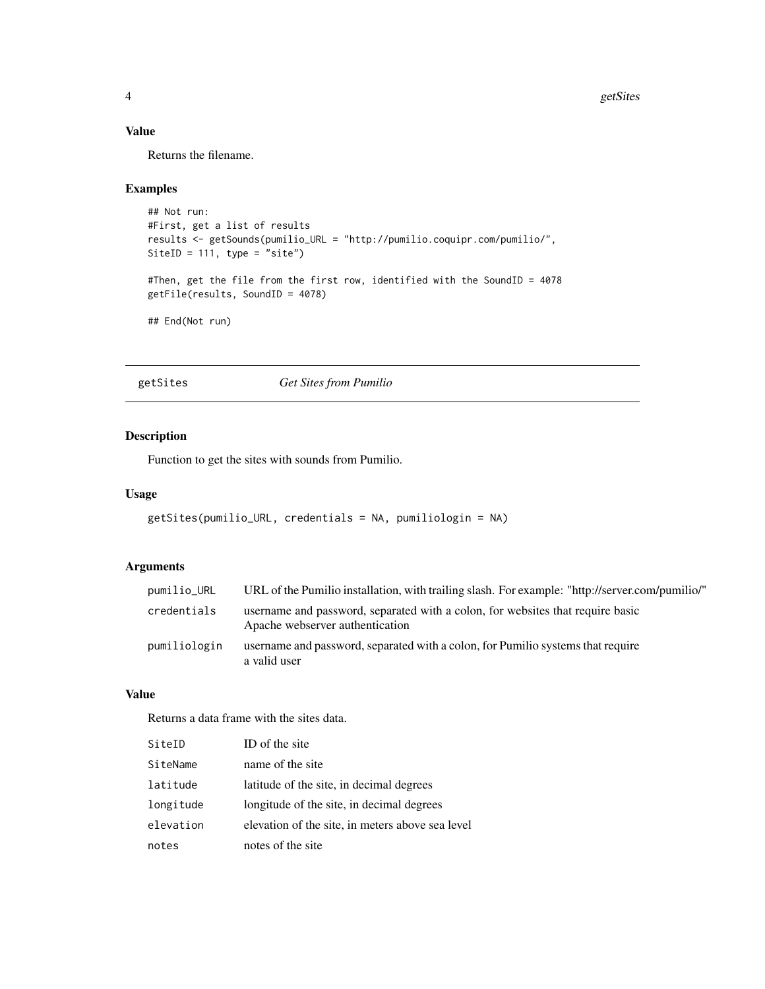#### <span id="page-3-0"></span>Value

Returns the filename.

#### Examples

```
## Not run:
#First, get a list of results
results <- getSounds(pumilio_URL = "http://pumilio.coquipr.com/pumilio/",
SiteID = 111, type = "site")
#Then, get the file from the first row, identified with the SoundID = 4078
getFile(results, SoundID = 4078)
## End(Not run)
```
getSites *Get Sites from Pumilio*

#### Description

Function to get the sites with sounds from Pumilio.

#### Usage

```
getSites(pumilio_URL, credentials = NA, pumiliologin = NA)
```
#### Arguments

| pumilio_URL  | URL of the Pumilio installation, with trailing slash. For example: "http://server.com/pumilio/"                   |
|--------------|-------------------------------------------------------------------------------------------------------------------|
| credentials  | username and password, separated with a colon, for websites that require basic<br>Apache webserver authentication |
| pumiliologin | username and password, separated with a colon, for Pumilio systems that require<br>a valid user                   |

#### Value

Returns a data frame with the sites data.

| SiteID    | ID of the site                                   |
|-----------|--------------------------------------------------|
| SiteName  | name of the site                                 |
| latitude  | latitude of the site, in decimal degrees         |
| longitude | longitude of the site, in decimal degrees        |
| elevation | elevation of the site, in meters above sea level |
| notes     | notes of the site                                |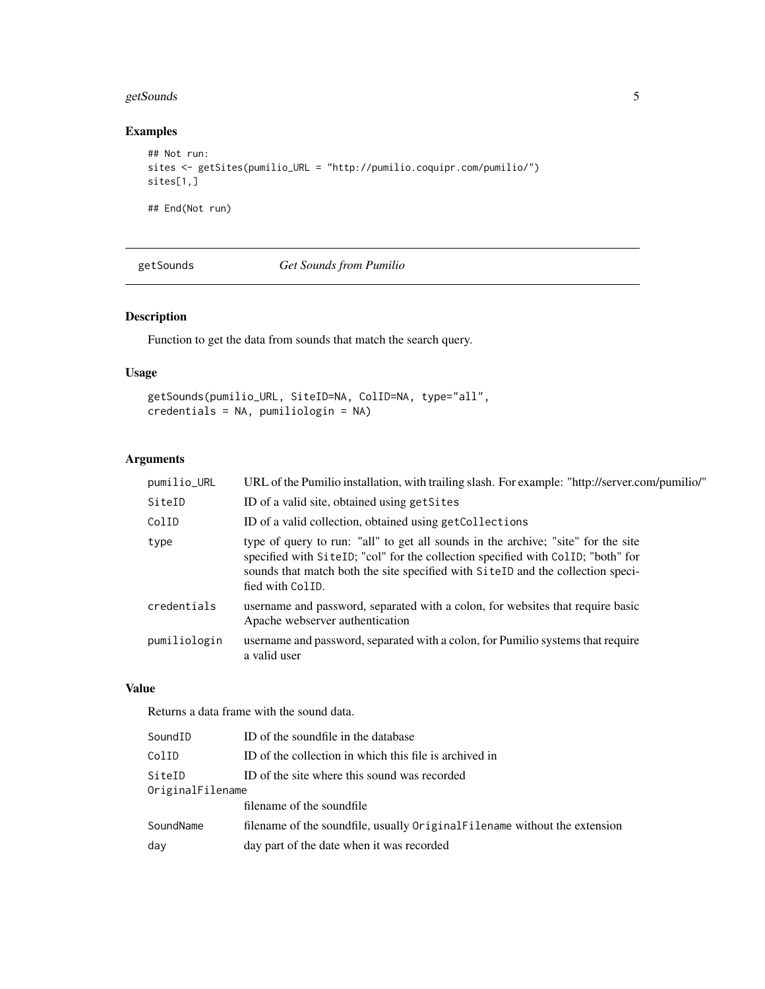#### <span id="page-4-0"></span>getSounds 5

#### Examples

```
## Not run:
sites <- getSites(pumilio_URL = "http://pumilio.coquipr.com/pumilio/")
sites[1,]
## End(Not run)
```
getSounds *Get Sounds from Pumilio*

#### Description

Function to get the data from sounds that match the search query.

#### Usage

```
getSounds(pumilio_URL, SiteID=NA, ColID=NA, type="all",
credentials = NA, pumiliologin = NA)
```
#### Arguments

| pumilio_URL  | URL of the Pumilio installation, with trailing slash. For example: "http://server.com/pumilio/"                                                                                                                                                                              |
|--------------|------------------------------------------------------------------------------------------------------------------------------------------------------------------------------------------------------------------------------------------------------------------------------|
| SiteID       | ID of a valid site, obtained using get Sites                                                                                                                                                                                                                                 |
| ColID        | ID of a valid collection, obtained using getCollections                                                                                                                                                                                                                      |
| type         | type of query to run: "all" to get all sounds in the archive; "site" for the site<br>specified with SiteID; "col" for the collection specified with ColID; "both" for<br>sounds that match both the site specified with SiteID and the collection speci-<br>fied with ColID. |
| credentials  | username and password, separated with a colon, for websites that require basic<br>Apache webserver authentication                                                                                                                                                            |
| pumiliologin | username and password, separated with a colon, for Pumilio systems that require<br>a valid user                                                                                                                                                                              |

#### Value

Returns a data frame with the sound data.

| SoundID          | ID of the soundfile in the database                                        |
|------------------|----------------------------------------------------------------------------|
| ColID            | ID of the collection in which this file is archived in                     |
| SiteID           | ID of the site where this sound was recorded                               |
| OriginalFilename |                                                                            |
|                  | filename of the soundfile                                                  |
| SoundName        | filename of the soundfile, usually Original Filename without the extension |
| day              | day part of the date when it was recorded                                  |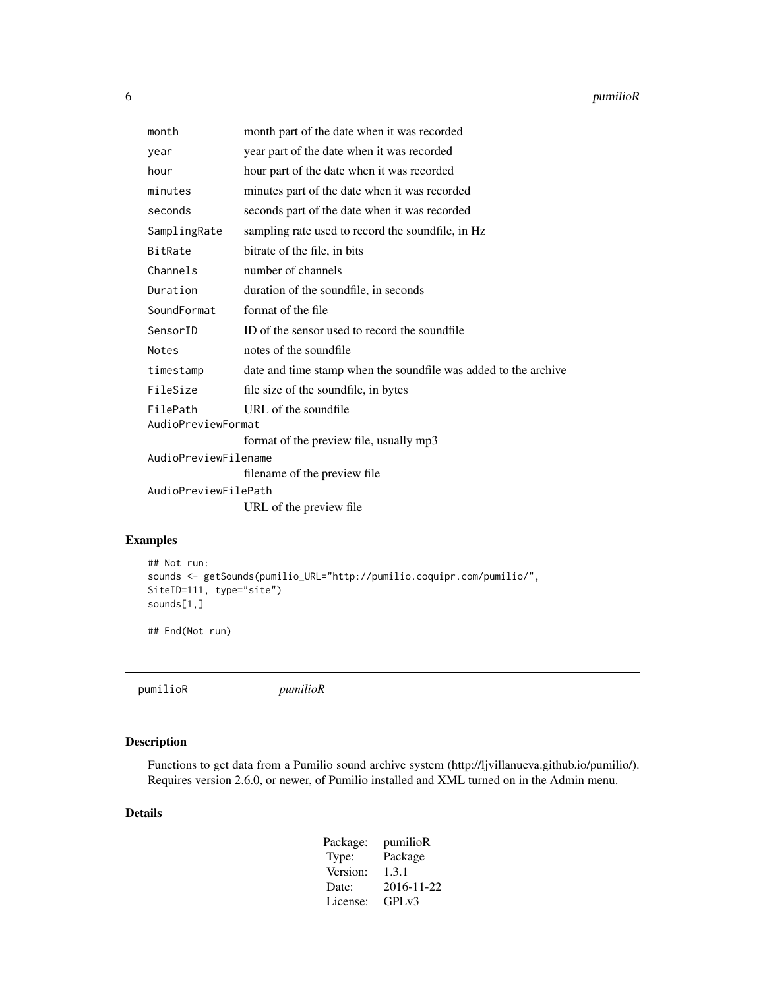<span id="page-5-0"></span>

| month                | month part of the date when it was recorded                     |  |  |  |  |
|----------------------|-----------------------------------------------------------------|--|--|--|--|
| year                 | year part of the date when it was recorded                      |  |  |  |  |
| hour                 | hour part of the date when it was recorded                      |  |  |  |  |
| minutes              | minutes part of the date when it was recorded                   |  |  |  |  |
| seconds              | seconds part of the date when it was recorded                   |  |  |  |  |
| SamplingRate         | sampling rate used to record the soundfile, in Hz               |  |  |  |  |
| BitRate              | bitrate of the file, in bits                                    |  |  |  |  |
| Channels             | number of channels                                              |  |  |  |  |
| Duration             | duration of the soundfile, in seconds                           |  |  |  |  |
| SoundFormat          | format of the file                                              |  |  |  |  |
| SensorID             | ID of the sensor used to record the soundfile                   |  |  |  |  |
| Notes                | notes of the soundfile                                          |  |  |  |  |
| timestamp            | date and time stamp when the soundfile was added to the archive |  |  |  |  |
| FileSize             | file size of the soundfile, in bytes                            |  |  |  |  |
| FilePath             | URL of the soundfile                                            |  |  |  |  |
| AudioPreviewFormat   |                                                                 |  |  |  |  |
|                      | format of the preview file, usually mp3                         |  |  |  |  |
| AudioPreviewFilename |                                                                 |  |  |  |  |
|                      | filename of the preview file                                    |  |  |  |  |
| AudioPreviewFilePath |                                                                 |  |  |  |  |
|                      | URL of the preview file                                         |  |  |  |  |

#### Examples

```
## Not run:
sounds <- getSounds(pumilio_URL="http://pumilio.coquipr.com/pumilio/",
SiteID=111, type="site")
sounds[1,]
```
## End(Not run)

pumilioR *pumilioR*

#### Description

Functions to get data from a Pumilio sound archive system (http://ljvillanueva.github.io/pumilio/). Requires version 2.6.0, or newer, of Pumilio installed and XML turned on in the Admin menu.

#### Details

| pumilioR   |
|------------|
| Package    |
| 1.3.1      |
| 2016-11-22 |
| $GPI_v3$   |
|            |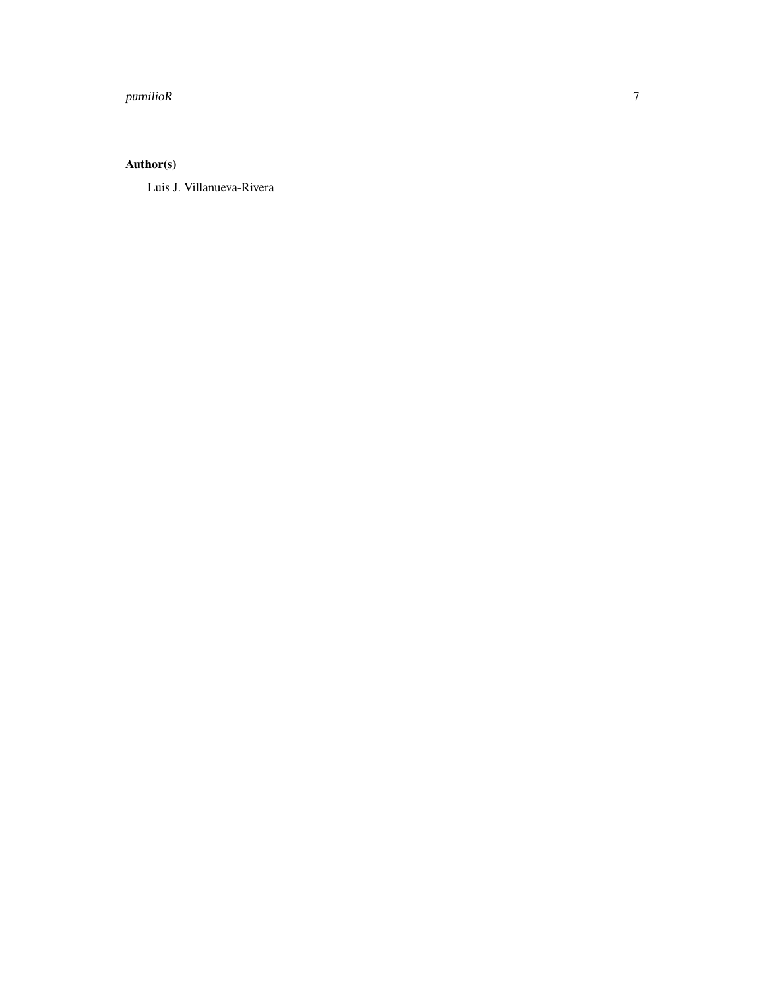#### pumilioR

#### Author(s)

Luis J. Villanueva-Rivera